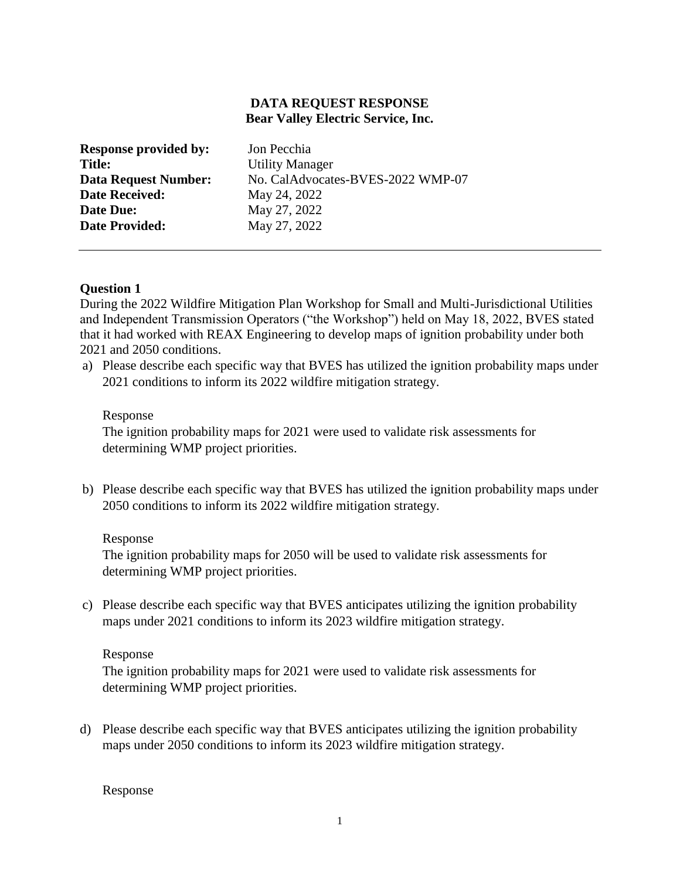# **DATA REQUEST RESPONSE Bear Valley Electric Service, Inc.**

| <b>Response provided by:</b> | Jon Pecchia                       |
|------------------------------|-----------------------------------|
| <b>Title:</b>                | <b>Utility Manager</b>            |
| <b>Data Request Number:</b>  | No. CalAdvocates-BVES-2022 WMP-07 |
| <b>Date Received:</b>        | May 24, 2022                      |
| Date Due:                    | May 27, 2022                      |
| <b>Date Provided:</b>        | May 27, 2022                      |
|                              |                                   |

## **Question 1**

During the 2022 Wildfire Mitigation Plan Workshop for Small and Multi-Jurisdictional Utilities and Independent Transmission Operators ("the Workshop") held on May 18, 2022, BVES stated that it had worked with REAX Engineering to develop maps of ignition probability under both 2021 and 2050 conditions.

a) Please describe each specific way that BVES has utilized the ignition probability maps under 2021 conditions to inform its 2022 wildfire mitigation strategy.

### Response

The ignition probability maps for 2021 were used to validate risk assessments for determining WMP project priorities.

b) Please describe each specific way that BVES has utilized the ignition probability maps under 2050 conditions to inform its 2022 wildfire mitigation strategy.

### Response

The ignition probability maps for 2050 will be used to validate risk assessments for determining WMP project priorities.

c) Please describe each specific way that BVES anticipates utilizing the ignition probability maps under 2021 conditions to inform its 2023 wildfire mitigation strategy.

## Response

The ignition probability maps for 2021 were used to validate risk assessments for determining WMP project priorities.

d) Please describe each specific way that BVES anticipates utilizing the ignition probability maps under 2050 conditions to inform its 2023 wildfire mitigation strategy.

Response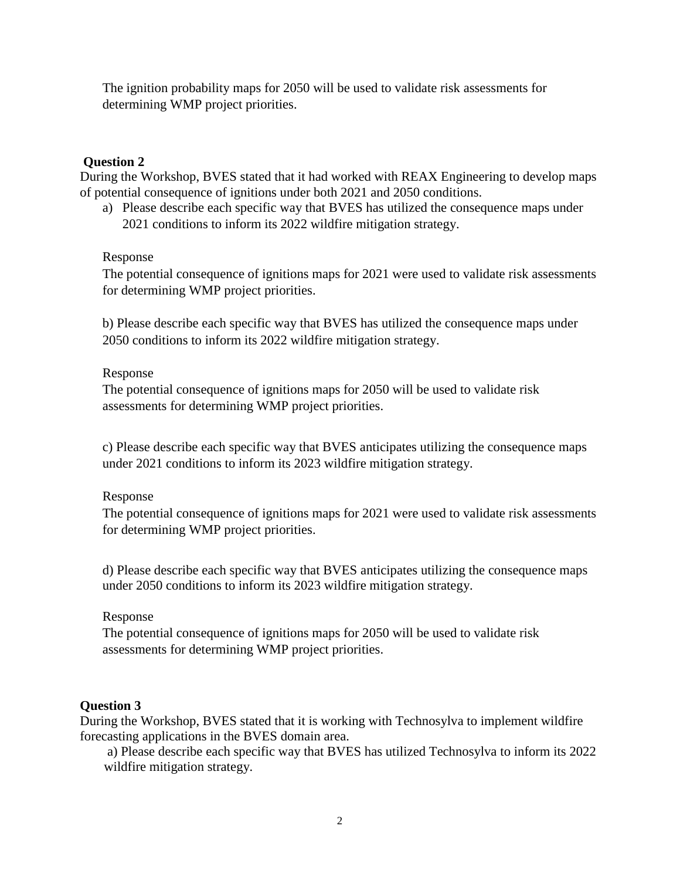The ignition probability maps for 2050 will be used to validate risk assessments for determining WMP project priorities.

## **Question 2**

During the Workshop, BVES stated that it had worked with REAX Engineering to develop maps of potential consequence of ignitions under both 2021 and 2050 conditions.

a) Please describe each specific way that BVES has utilized the consequence maps under 2021 conditions to inform its 2022 wildfire mitigation strategy.

## Response

The potential consequence of ignitions maps for 2021 were used to validate risk assessments for determining WMP project priorities.

b) Please describe each specific way that BVES has utilized the consequence maps under 2050 conditions to inform its 2022 wildfire mitigation strategy.

## Response

The potential consequence of ignitions maps for 2050 will be used to validate risk assessments for determining WMP project priorities.

c) Please describe each specific way that BVES anticipates utilizing the consequence maps under 2021 conditions to inform its 2023 wildfire mitigation strategy.

# Response

The potential consequence of ignitions maps for 2021 were used to validate risk assessments for determining WMP project priorities.

d) Please describe each specific way that BVES anticipates utilizing the consequence maps under 2050 conditions to inform its 2023 wildfire mitigation strategy.

## Response

The potential consequence of ignitions maps for 2050 will be used to validate risk assessments for determining WMP project priorities.

## **Question 3**

During the Workshop, BVES stated that it is working with Technosylva to implement wildfire forecasting applications in the BVES domain area.

a) Please describe each specific way that BVES has utilized Technosylva to inform its 2022 wildfire mitigation strategy.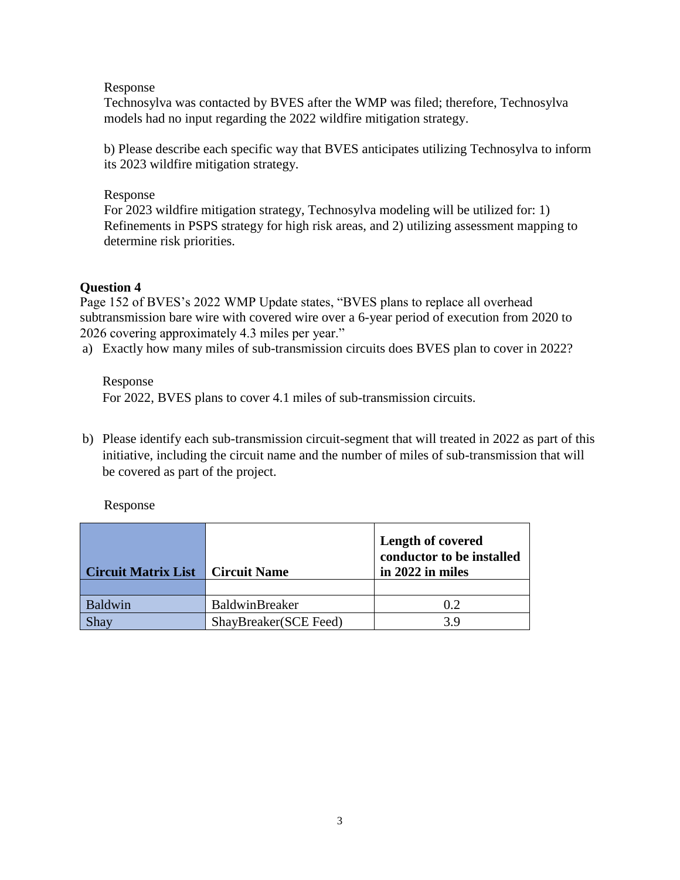## Response

Technosylva was contacted by BVES after the WMP was filed; therefore, Technosylva models had no input regarding the 2022 wildfire mitigation strategy.

b) Please describe each specific way that BVES anticipates utilizing Technosylva to inform its 2023 wildfire mitigation strategy.

## Response

For 2023 wildfire mitigation strategy, Technosylva modeling will be utilized for: 1) Refinements in PSPS strategy for high risk areas, and 2) utilizing assessment mapping to determine risk priorities.

# **Question 4**

Page 152 of BVES's 2022 WMP Update states, "BVES plans to replace all overhead subtransmission bare wire with covered wire over a 6-year period of execution from 2020 to 2026 covering approximately 4.3 miles per year."

a) Exactly how many miles of sub-transmission circuits does BVES plan to cover in 2022?

# Response

For 2022, BVES plans to cover 4.1 miles of sub-transmission circuits.

b) Please identify each sub-transmission circuit-segment that will treated in 2022 as part of this initiative, including the circuit name and the number of miles of sub-transmission that will be covered as part of the project.

# Response

| Circuit Matrix List   Circuit Name |                       | <b>Length of covered</b><br>conductor to be installed<br>in 2022 in miles |
|------------------------------------|-----------------------|---------------------------------------------------------------------------|
|                                    |                       |                                                                           |
| <b>Baldwin</b>                     | BaldwinBreaker        | 0.2                                                                       |
| Shav                               | ShayBreaker(SCE Feed) | 39                                                                        |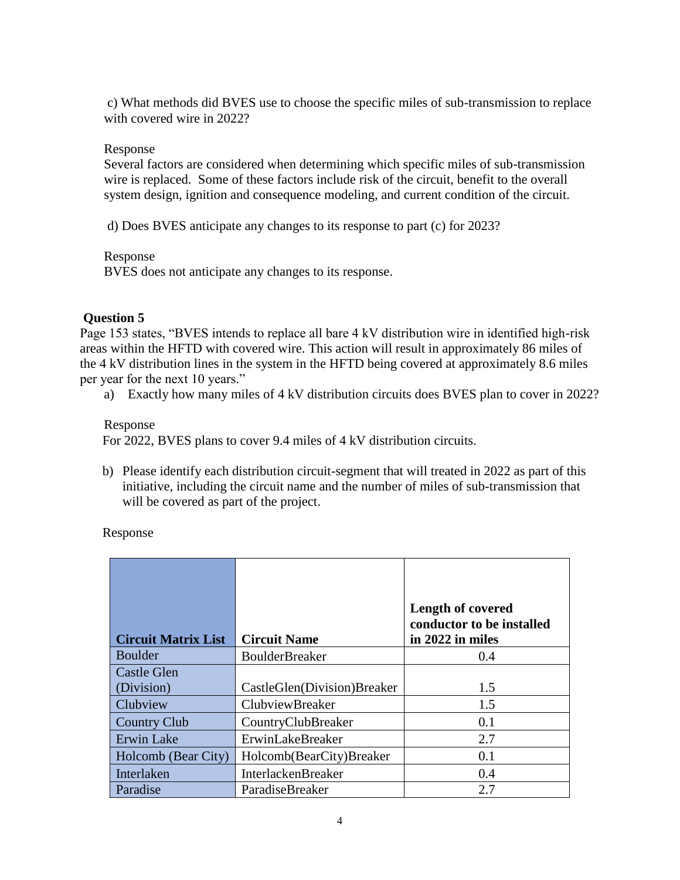c) What methods did BVES use to choose the specific miles of sub-transmission to replace with covered wire in 2022?

### Response

Several factors are considered when determining which specific miles of sub-transmission wire is replaced. Some of these factors include risk of the circuit, benefit to the overall system design, ignition and consequence modeling, and current condition of the circuit.

d) Does BVES anticipate any changes to its response to part (c) for 2023?

### Response

BVES does not anticipate any changes to its response.

### **Question 5**

Page 153 states, "BVES intends to replace all bare 4 kV distribution wire in identified high-risk areas within the HFTD with covered wire. This action will result in approximately 86 miles of the 4 kV distribution lines in the system in the HFTD being covered at approximately 8.6 miles per year for the next 10 years."

a) Exactly how many miles of 4 kV distribution circuits does BVES plan to cover in 2022?

### Response

For 2022, BVES plans to cover 9.4 miles of 4 kV distribution circuits.

b) Please identify each distribution circuit-segment that will treated in 2022 as part of this initiative, including the circuit name and the number of miles of sub-transmission that will be covered as part of the project.

## Response

| <b>Circuit Matrix List</b> | <b>Circuit Name</b>         | <b>Length of covered</b><br>conductor to be installed<br>in 2022 in miles |
|----------------------------|-----------------------------|---------------------------------------------------------------------------|
| Boulder                    | <b>BoulderBreaker</b>       | 0.4                                                                       |
| <b>Castle Glen</b>         |                             |                                                                           |
| (Division)                 | CastleGlen(Division)Breaker | 1.5                                                                       |
| Clubview                   | <b>ClubviewBreaker</b>      | 1.5                                                                       |
| <b>Country Club</b>        | CountryClubBreaker          | 0.1                                                                       |
| Erwin Lake                 | ErwinLakeBreaker            | 2.7                                                                       |
| Holcomb (Bear City)        | Holcomb(BearCity)Breaker    | 0.1                                                                       |
| Interlaken                 | <b>InterlackenBreaker</b>   | 0.4                                                                       |
| Paradise                   | ParadiseBreaker             | 2.7                                                                       |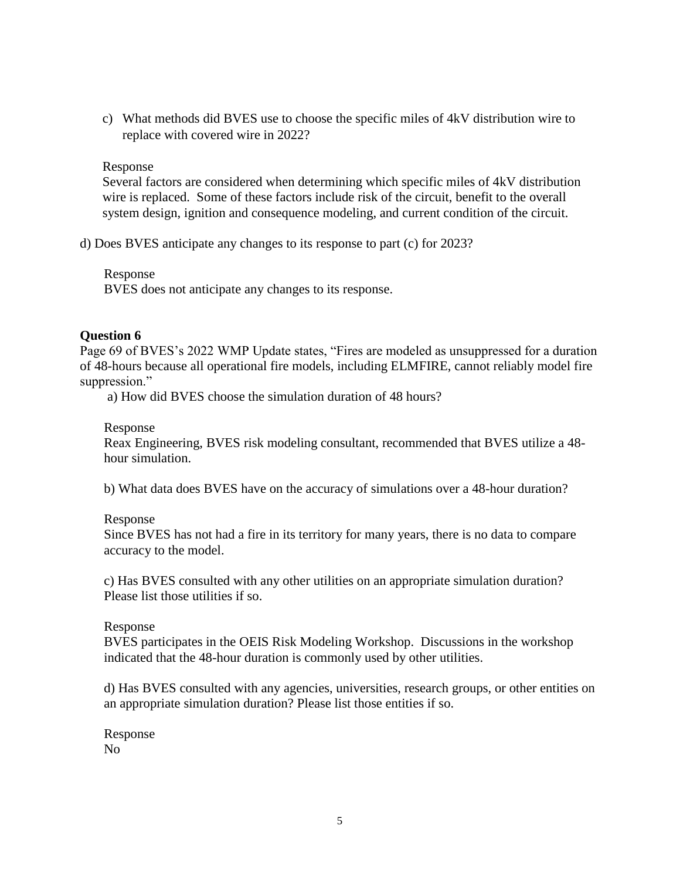c) What methods did BVES use to choose the specific miles of 4kV distribution wire to replace with covered wire in 2022?

### Response

Several factors are considered when determining which specific miles of 4kV distribution wire is replaced. Some of these factors include risk of the circuit, benefit to the overall system design, ignition and consequence modeling, and current condition of the circuit.

d) Does BVES anticipate any changes to its response to part (c) for 2023?

### Response

BVES does not anticipate any changes to its response.

### **Question 6**

Page 69 of BVES's 2022 WMP Update states, "Fires are modeled as unsuppressed for a duration of 48-hours because all operational fire models, including ELMFIRE, cannot reliably model fire suppression."

a) How did BVES choose the simulation duration of 48 hours?

#### Response

Reax Engineering, BVES risk modeling consultant, recommended that BVES utilize a 48 hour simulation.

b) What data does BVES have on the accuracy of simulations over a 48-hour duration?

#### Response

Since BVES has not had a fire in its territory for many years, there is no data to compare accuracy to the model.

c) Has BVES consulted with any other utilities on an appropriate simulation duration? Please list those utilities if so.

#### Response

BVES participates in the OEIS Risk Modeling Workshop. Discussions in the workshop indicated that the 48-hour duration is commonly used by other utilities.

d) Has BVES consulted with any agencies, universities, research groups, or other entities on an appropriate simulation duration? Please list those entities if so.

Response No